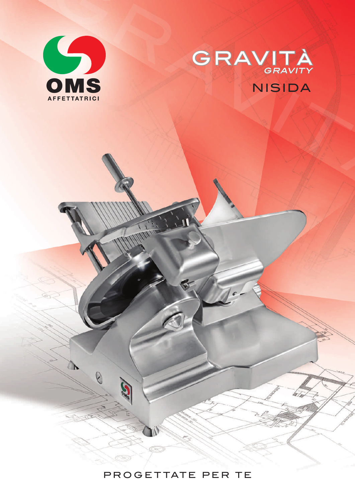

 $\begin{matrix} \mathbf{r} \end{matrix}$ 

8

B



PROGETTATE PER TE

 $C \rightarrow \mathbb{R}$ 

6